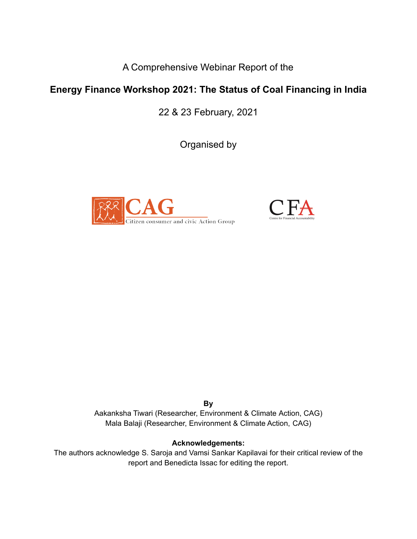A Comprehensive Webinar Report of the

## **Energy Finance Workshop 2021: The Status of Coal Financing in India**

22 & 23 February, 2021

Organised by





**By** Aakanksha Tiwari (Researcher, Environment & Climate Action, CAG) Mala Balaji (Researcher, Environment & Climate Action, CAG)

## **Acknowledgements:**

The authors acknowledge S. Saroja and Vamsi Sankar Kapilavai for their critical review of the report and Benedicta Issac for editing the report.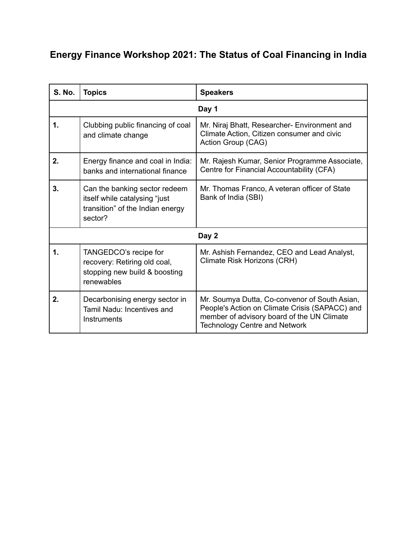# **Energy Finance Workshop 2021: The Status of Coal Financing in India**

| <b>S. No.</b> | <b>Topics</b>                                                                                                 | <b>Speakers</b>                                                                                                                                                                       |
|---------------|---------------------------------------------------------------------------------------------------------------|---------------------------------------------------------------------------------------------------------------------------------------------------------------------------------------|
| Day 1         |                                                                                                               |                                                                                                                                                                                       |
| $\mathbf 1$   | Clubbing public financing of coal<br>and climate change                                                       | Mr. Niraj Bhatt, Researcher- Environment and<br>Climate Action, Citizen consumer and civic<br>Action Group (CAG)                                                                      |
| 2.            | Energy finance and coal in India:<br>banks and international finance                                          | Mr. Rajesh Kumar, Senior Programme Associate,<br>Centre for Financial Accountability (CFA)                                                                                            |
| 3.            | Can the banking sector redeem<br>itself while catalysing "just<br>transition" of the Indian energy<br>sector? | Mr. Thomas Franco, A veteran officer of State<br>Bank of India (SBI)                                                                                                                  |
| Day 2         |                                                                                                               |                                                                                                                                                                                       |
| 1.            | TANGEDCO's recipe for<br>recovery: Retiring old coal,<br>stopping new build & boosting<br>renewables          | Mr. Ashish Fernandez, CEO and Lead Analyst,<br>Climate Risk Horizons (CRH)                                                                                                            |
| 2.            | Decarbonising energy sector in<br>Tamil Nadu: Incentives and<br>Instruments                                   | Mr. Soumya Dutta, Co-convenor of South Asian,<br>People's Action on Climate Crisis (SAPACC) and<br>member of advisory board of the UN Climate<br><b>Technology Centre and Network</b> |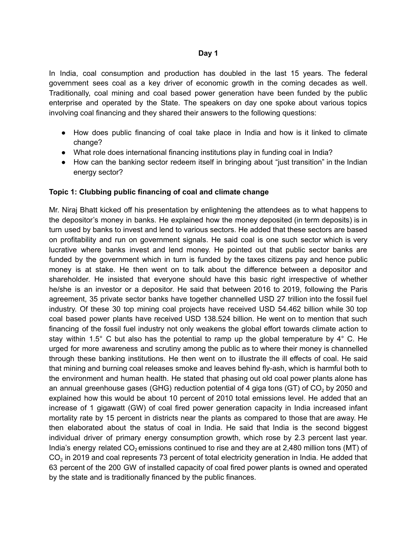#### **Day 1**

In India, coal consumption and production has doubled in the last 15 years. The federal government sees coal as a key driver of economic growth in the coming decades as well. Traditionally, coal mining and coal based power generation have been funded by the public enterprise and operated by the State. The speakers on day one spoke about various topics involving coal financing and they shared their answers to the following questions:

- How does public financing of coal take place in India and how is it linked to climate change?
- What role does international financing institutions play in funding coal in India?
- How can the banking sector redeem itself in bringing about "just transition" in the Indian energy sector?

#### **Topic 1: Clubbing public financing of coal and climate change**

Mr. Niraj Bhatt kicked off his presentation by enlightening the attendees as to what happens to the depositor's money in banks. He explained how the money deposited (in term deposits) is in turn used by banks to invest and lend to various sectors. He added that these sectors are based on profitability and run on government signals. He said coal is one such sector which is very lucrative where banks invest and lend money. He pointed out that public sector banks are funded by the government which in turn is funded by the taxes citizens pay and hence public money is at stake. He then went on to talk about the difference between a depositor and shareholder. He insisted that everyone should have this basic right irrespective of whether he/she is an investor or a depositor. He said that between 2016 to 2019, following the Paris agreement, 35 private sector banks have together channelled USD 27 trillion into the fossil fuel industry. Of these 30 top mining coal projects have received USD 54.462 billion while 30 top coal based power plants have received USD 138.524 billion. He went on to mention that such financing of the fossil fuel industry not only weakens the global effort towards climate action to stay within 1.5 $^{\circ}$  C but also has the potential to ramp up the global temperature by 4 $^{\circ}$  C. He urged for more awareness and scrutiny among the public as to where their money is channelled through these banking institutions. He then went on to illustrate the ill effects of coal. He said that mining and burning coal releases smoke and leaves behind fly-ash, which is harmful both to the environment and human health. He stated that phasing out old coal power plants alone has an annual greenhouse gases (GHG) reduction potential of 4 giga tons (GT) of  $CO<sub>2</sub>$  by 2050 and explained how this would be about 10 percent of 2010 total emissions level. He added that an increase of 1 gigawatt (GW) of coal fired power generation capacity in India increased infant mortality rate by 15 percent in districts near the plants as compared to those that are away. He then elaborated about the status of coal in India. He said that India is the second biggest individual driver of primary energy consumption growth, which rose by 2.3 percent last year. India's energy related  $CO<sub>2</sub>$  emissions continued to rise and they are at 2,480 million tons (MT) of  $\mathsf{CO}_2$  in 2019 and coal represents 73 percent of total electricity generation in India. He added that 63 percent of the 200 GW of installed capacity of coal fired power plants is owned and operated by the state and is traditionally financed by the public finances.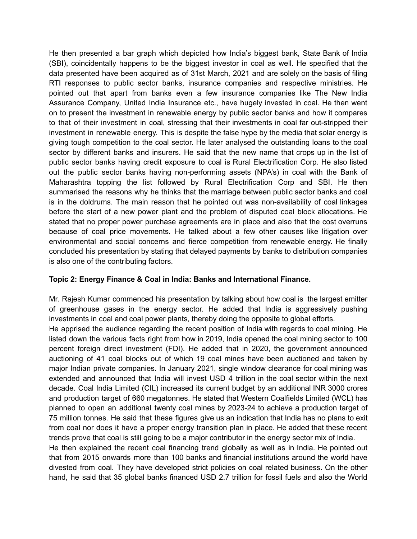He then presented a bar graph which depicted how India's biggest bank, State Bank of India (SBI), coincidentally happens to be the biggest investor in coal as well. He specified that the data presented have been acquired as of 31st March, 2021 and are solely on the basis of filing RTI responses to public sector banks, insurance companies and respective ministries. He pointed out that apart from banks even a few insurance companies like The New India Assurance Company, United India Insurance etc., have hugely invested in coal. He then went on to present the investment in renewable energy by public sector banks and how it compares to that of their investment in coal, stressing that their investments in coal far out-stripped their investment in renewable energy. This is despite the false hype by the media that solar energy is giving tough competition to the coal sector. He later analysed the outstanding loans to the coal sector by different banks and insurers. He said that the new name that crops up in the list of public sector banks having credit exposure to coal is Rural Electrification Corp. He also listed out the public sector banks having non-performing assets (NPA's) in coal with the Bank of Maharashtra topping the list followed by Rural Electrification Corp and SBI. He then summarised the reasons why he thinks that the marriage between public sector banks and coal is in the doldrums. The main reason that he pointed out was non-availability of coal linkages before the start of a new power plant and the problem of disputed coal block allocations. He stated that no proper power purchase agreements are in place and also that the cost overruns because of coal price movements. He talked about a few other causes like litigation over environmental and social concerns and fierce competition from renewable energy. He finally concluded his presentation by stating that delayed payments by banks to distribution companies is also one of the contributing factors.

#### **Topic 2: Energy Finance & Coal in India: Banks and International Finance.**

Mr. Rajesh Kumar commenced his presentation by talking about how coal is the largest emitter of greenhouse gases in the energy sector. He added that India is aggressively pushing investments in coal and coal power plants, thereby doing the opposite to global efforts.

He apprised the audience regarding the recent position of India with regards to coal mining. He listed down the various facts right from how in 2019, India opened the coal mining sector to 100 percent foreign direct investment (FDI). He added that in 2020, the government announced auctioning of 41 coal blocks out of which 19 coal mines have been auctioned and taken by major Indian private companies. In January 2021, single window clearance for coal mining was extended and announced that India will invest USD 4 trillion in the coal sector within the next decade. Coal India Limited (CIL) increased its current budget by an additional INR 3000 crores and production target of 660 megatonnes. He stated that Western Coalfields Limited (WCL) has planned to open an additional twenty coal mines by 2023-24 to achieve a production target of 75 million tonnes. He said that these figures give us an indication that India has no plans to exit from coal nor does it have a proper energy transition plan in place. He added that these recent trends prove that coal is still going to be a major contributor in the energy sector mix of India.

He then explained the recent coal financing trend globally as well as in India. He pointed out that from 2015 onwards more than 100 banks and financial institutions around the world have divested from coal. They have developed strict policies on coal related business. On the other hand, he said that 35 global banks financed USD 2.7 trillion for fossil fuels and also the World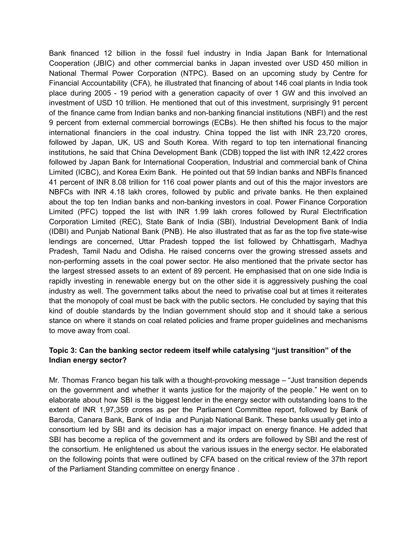Bank financed 12 billion in the fossil fuel industry in India Japan Bank for International Cooperation (JBIC) and other commercial banks in Japan invested over USD 450 million in National Thermal Power Corporation (NTPC). Based on an upcoming study by Centre for Financial Accountability (CFA), he illustrated that financing of about 146 coal plants in India took place during 2005 - 19 period with a generation capacity of over 1 GW and this involved an investment of USD 10 trillion. He mentioned that out of this investment, surprisingly 91 percent of the finance came from Indian banks and non-banking financial institutions (NBFI) and the rest 9 percent from external commercial borrowings (ECBs). He then shifted his focus to the major international financiers in the coal industry. China topped the list with INR 23,720 crores, followed by Japan, UK, US and South Korea. With regard to top ten international financing institutions, he said that China Development Bank (CDB) topped the list with INR 12,422 crores followed by Japan Bank for International Cooperation, Industrial and commercial bank of China Limited (ICBC), and Korea Exim Bank. He pointed out that 59 Indian banks and NBFIs financed 41 percent of INR 8.08 trillion for 116 coal power plants and out of this the major investors are NBFCs with INR 4.18 lakh crores, followed by public and private banks. He then explained about the top ten Indian banks and non-banking investors in coal. Power Finance Corporation Limited (PFC) topped the list with INR 1.99 lakh crores followed by Rural Electrification Corporation Limited (REC), State Bank of India (SBI), Industrial Development Bank of India (IDBI) and Punjab National Bank (PNB). He also illustrated that as far as the top five state-wise lendings are concerned, Uttar Pradesh topped the list followed by Chhattisgarh, Madhya Pradesh, Tamil Nadu and Odisha. He raised concerns over the growing stressed assets and non-performing assets in the coal power sector. He also mentioned that the private sector has the largest stressed assets to an extent of 89 percent. He emphasised that on one side India is rapidly investing in renewable energy but on the other side it is aggressively pushing the coal industry as well. The government talks about the need to privatise coal but at times it reiterates that the monopoly of coal must be back with the public sectors. He concluded by saying that this kind of double standards by the Indian government should stop and it should take a serious stance on where it stands on coal related policies and frame proper guidelines and mechanisms to move away from coal.

## **Topic 3: Can the banking sector redeem itself while catalysing "just transition" of the Indian energy sector?**

Mr. Thomas Franco began his talk with a thought-provoking message – "Just transition depends on the government and whether it wants justice for the majority of the people." He went on to elaborate about how SBI is the biggest lender in the energy sector with outstanding loans to the extent of INR 1,97,359 crores as per the Parliament Committee report, followed by Bank of Baroda, Canara Bank, Bank of India and Punjab National Bank. These banks usually get into a consortium led by SBI and its decision has a major impact on energy finance. He added that SBI has become a replica of the government and its orders are followed by SBI and the rest of the consortium. He enlightened us about the various issues in the energy sector. He elaborated on the following points that were outlined by CFA based on the critical review of the 37th report of the Parliament Standing committee on energy finance .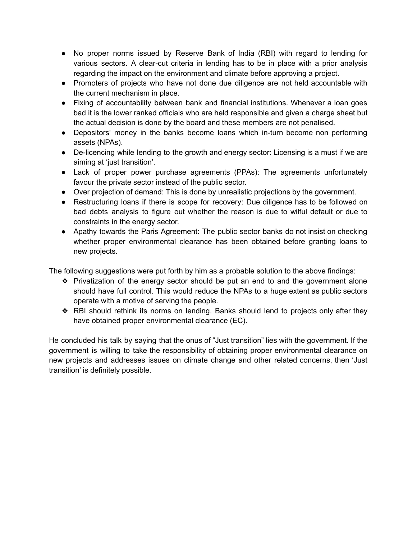- No proper norms issued by Reserve Bank of India (RBI) with regard to lending for various sectors. A clear-cut criteria in lending has to be in place with a prior analysis regarding the impact on the environment and climate before approving a project.
- Promoters of projects who have not done due diligence are not held accountable with the current mechanism in place.
- Fixing of accountability between bank and financial institutions. Whenever a loan goes bad it is the lower ranked officials who are held responsible and given a charge sheet but the actual decision is done by the board and these members are not penalised.
- Depositors' money in the banks become loans which in-turn become non performing assets (NPAs).
- De-licencing while lending to the growth and energy sector: Licensing is a must if we are aiming at 'just transition'.
- Lack of proper power purchase agreements (PPAs): The agreements unfortunately favour the private sector instead of the public sector.
- Over projection of demand: This is done by unrealistic projections by the government.
- Restructuring loans if there is scope for recovery: Due diligence has to be followed on bad debts analysis to figure out whether the reason is due to wilful default or due to constraints in the energy sector.
- Apathy towards the Paris Agreement: The public sector banks do not insist on checking whether proper environmental clearance has been obtained before granting loans to new projects.

The following suggestions were put forth by him as a probable solution to the above findings:

- ❖ Privatization of the energy sector should be put an end to and the government alone should have full control. This would reduce the NPAs to a huge extent as public sectors operate with a motive of serving the people.
- ❖ RBI should rethink its norms on lending. Banks should lend to projects only after they have obtained proper environmental clearance (EC).

He concluded his talk by saying that the onus of "Just transition" lies with the government. If the government is willing to take the responsibility of obtaining proper environmental clearance on new projects and addresses issues on climate change and other related concerns, then 'Just transition' is definitely possible.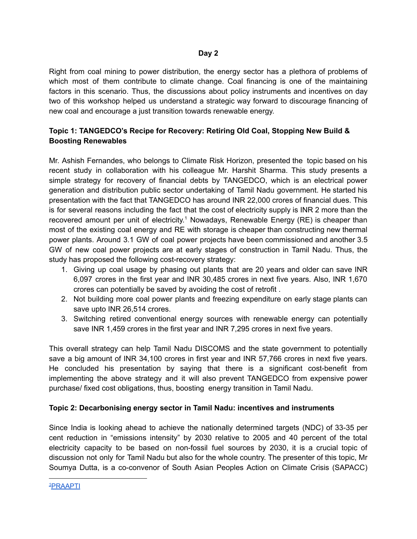Right from coal mining to power distribution, the energy sector has a plethora of problems of which most of them contribute to climate change. Coal financing is one of the maintaining factors in this scenario. Thus, the discussions about policy instruments and incentives on day two of this workshop helped us understand a strategic way forward to discourage financing of new coal and encourage a just transition towards renewable energy.

## **Topic 1: TANGEDCO's Recipe for Recovery: Retiring Old Coal, Stopping New Build & Boosting Renewables**

Mr. Ashish Fernandes, who belongs to Climate Risk Horizon, presented the topic based on his recent study in collaboration with his colleague Mr. Harshit Sharma. This study presents a simple strategy for recovery of financial debts by TANGEDCO, which is an electrical power generation and distribution public sector undertaking of Tamil Nadu government. He started his presentation with the fact that TANGEDCO has around INR 22,000 crores of financial dues. This is for several reasons including the fact that the cost of electricity supply is INR 2 more than the recovered amount per unit of electricity.<sup>1</sup> Nowadays, Renewable Energy (RE) is cheaper than most of the existing coal energy and RE with storage is cheaper than constructing new thermal power plants. Around 3.1 GW of coal power projects have been commissioned and another 3.5 GW of new coal power projects are at early stages of construction in Tamil Nadu. Thus, the study has proposed the following cost-recovery strategy:

- 1. Giving up coal usage by phasing out plants that are 20 years and older can save INR 6,097 crores in the first year and INR 30,485 crores in next five years. Also, INR 1,670 crores can potentially be saved by avoiding the cost of retrofit .
- 2. Not building more coal power plants and freezing expenditure on early stage plants can save upto INR 26,514 crores.
- 3. Switching retired conventional energy sources with renewable energy can potentially save INR 1,459 crores in the first year and INR 7,295 crores in next five years.

This overall strategy can help Tamil Nadu DISCOMS and the state government to potentially save a big amount of INR 34,100 crores in first year and INR 57,766 crores in next five years. He concluded his presentation by saying that there is a significant cost-benefit from implementing the above strategy and it will also prevent TANGEDCO from expensive power purchase/ fixed cost obligations, thus, boosting energy transition in Tamil Nadu.

## **Topic 2: Decarbonising energy sector in Tamil Nadu: incentives and instruments**

Since India is looking ahead to achieve the nationally determined targets (NDC) of 33-35 per cent reduction in "emissions intensity" by 2030 relative to 2005 and 40 percent of the total electricity capacity to be based on non-fossil fuel sources by 2030, it is a crucial topic of discussion not only for Tamil Nadu but also for the whole country. The presenter of this topic, Mr Soumya Dutta, is a co-convenor of South Asian Peoples Action on Climate Crisis (SAPACC)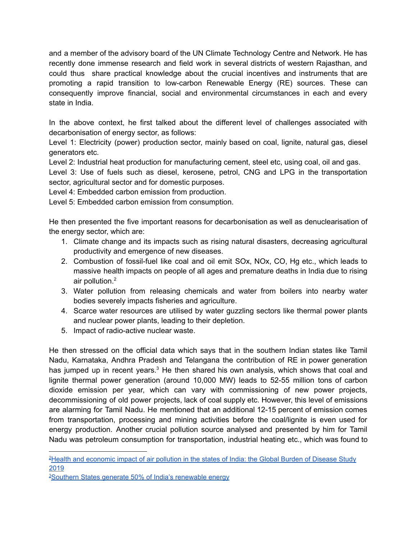and a member of the advisory board of the UN Climate Technology Centre and Network. He has recently done immense research and field work in several districts of western Rajasthan, and could thus share practical knowledge about the crucial incentives and instruments that are promoting a rapid transition to low-carbon Renewable Energy (RE) sources. These can consequently improve financial, social and environmental circumstances in each and every state in India.

In the above context, he first talked about the different level of challenges associated with decarbonisation of energy sector, as follows:

Level 1: Electricity (power) production sector, mainly based on coal, lignite, natural gas, diesel generators etc.

Level 2: Industrial heat production for manufacturing cement, steel etc, using coal, oil and gas.

Level 3: Use of fuels such as diesel, kerosene, petrol, CNG and LPG in the transportation sector, agricultural sector and for domestic purposes.

Level 4: Embedded carbon emission from production.

Level 5: Embedded carbon emission from consumption.

He then presented the five important reasons for decarbonisation as well as denuclearisation of the energy sector, which are:

- 1. Climate change and its impacts such as rising natural disasters, decreasing agricultural productivity and emergence of new diseases.
- 2. Combustion of fossil-fuel like coal and oil emit SOx, NOx, CO, Hg etc., which leads to massive health impacts on people of all ages and premature deaths in India due to rising air pollution. 2
- 3. Water pollution from releasing chemicals and water from boilers into nearby water bodies severely impacts fisheries and agriculture.
- 4. Scarce water resources are utilised by water guzzling sectors like thermal power plants and nuclear power plants, leading to their depletion.
- 5. Impact of radio-active nuclear waste.

He then stressed on the official data which says that in the southern Indian states like Tamil Nadu, Karnataka, Andhra Pradesh and Telangana the contribution of RE in power generation has jumped up in recent years.<sup>3</sup> He then shared his own analysis, which shows that coal and lignite thermal power generation (around 10,000 MW) leads to 52-55 million tons of carbon dioxide emission per year, which can vary with commissioning of new power projects, decommissioning of old power projects, lack of coal supply etc. However, this level of emissions are alarming for Tamil Nadu. He mentioned that an additional 12-15 percent of emission comes from transportation, processing and mining activities before the coal/lignite is even used for energy production. Another crucial pollution source analysed and presented by him for Tamil Nadu was petroleum consumption for transportation, industrial heating etc., which was found to

<sup>&</sup>lt;sup>2</sup>Health and [economic](https://www.thelancet.com/journals/lanplh/article/PIIS2542-5196(20)30298-9/fulltext) impact of air pollution in the states of India: the Global Burden of Disease Study [2019](https://www.thelancet.com/journals/lanplh/article/PIIS2542-5196(20)30298-9/fulltext)

<sup>&</sup>lt;sup>3</sup>Southern States generate 50% of India's [renewable](https://www.thehindu.com/news/cities/Hyderabad/southern-states-generate-50-of-indias-renewable-energy/article23543703.ece) energy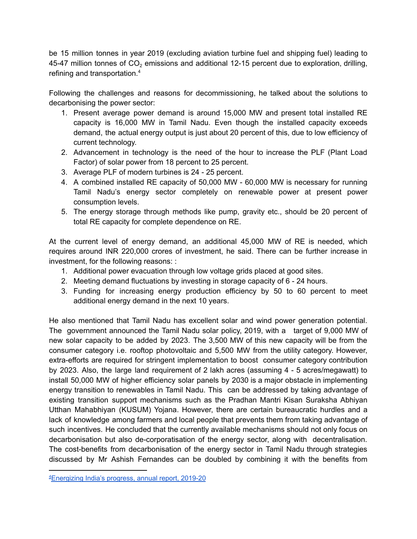be 15 million tonnes in year 2019 (excluding aviation turbine fuel and shipping fuel) leading to 45-47 million tonnes of  $CO<sub>2</sub>$  emissions and additional 12-15 percent due to exploration, drilling, refining and transportation. 4

Following the challenges and reasons for decommissioning, he talked about the solutions to decarbonising the power sector:

- 1. Present average power demand is around 15,000 MW and present total installed RE capacity is 16,000 MW in Tamil Nadu. Even though the installed capacity exceeds demand, the actual energy output is just about 20 percent of this, due to low efficiency of current technology.
- 2. Advancement in technology is the need of the hour to increase the PLF (Plant Load Factor) of solar power from 18 percent to 25 percent.
- 3. Average PLF of modern turbines is 24 25 percent.
- 4. A combined installed RE capacity of 50,000 MW 60,000 MW is necessary for running Tamil Nadu's energy sector completely on renewable power at present power consumption levels.
- 5. The energy storage through methods like pump, gravity etc., should be 20 percent of total RE capacity for complete dependence on RE.

At the current level of energy demand, an additional 45,000 MW of RE is needed, which requires around INR 220,000 crores of investment, he said. There can be further increase in investment, for the following reasons: :

- 1. Additional power evacuation through low voltage grids placed at good sites.
- 2. Meeting demand fluctuations by investing in storage capacity of 6 24 hours.
- 3. Funding for increasing energy production efficiency by 50 to 60 percent to meet additional energy demand in the next 10 years.

He also mentioned that Tamil Nadu has excellent solar and wind power generation potential. The government announced the Tamil Nadu solar policy, 2019, with a target of 9,000 MW of new solar capacity to be added by 2023. The 3,500 MW of this new capacity will be from the consumer category i.e. rooftop photovoltaic and 5,500 MW from the utility category. However, extra-efforts are required for stringent implementation to boost consumer category contribution by 2023. Also, the large land requirement of 2 lakh acres (assuming 4 - 5 acres/megawatt) to install 50,000 MW of higher efficiency solar panels by 2030 is a major obstacle in implementing energy transition to renewables in Tamil Nadu. This can be addressed by taking advantage of existing transition support mechanisms such as the Pradhan Mantri Kisan Suraksha Abhiyan Utthan Mahabhiyan (KUSUM) Yojana. However, there are certain bureaucratic hurdles and a lack of knowledge among farmers and local people that prevents them from taking advantage of such incentives. He concluded that the currently available mechanisms should not only focus on decarbonisation but also de-corporatisation of the energy sector, along with decentralisation. The cost-benefits from decarbonisation of the energy sector in Tamil Nadu through strategies discussed by Mr Ashish Fernandes can be doubled by combining it with the benefits from

<sup>4</sup>[Energizing](https://mopng.gov.in/files/TableManagements/2020-12-08-115045-xyd7b-AR_2019-20E.pdf) India's progress, annual report, 2019-20